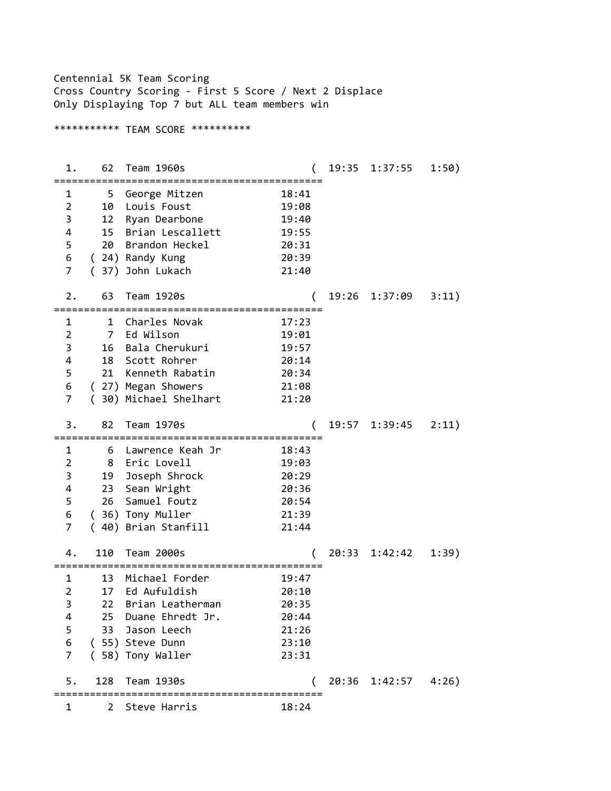Centennial 5K Team Scoring Cross Country Scoring - First 5 Score / Next 2 Displace Only Displaying Top 7 but ALL team members win \*\*\*\*\*\*\*\*\*\*\* TEAM SCORE \*\*\*\*\*\*\*\*\*\* 1. 62 Team 1960s ( 19:35 1:37:55 1:50) ============================================= 1 5 George Mitzen 18:41 2 10 Louis Foust 19:08 3 12 Ryan Dearbone 19:40 4 15 Brian Lescallett 19:55 5 20 Brandon Heckel 20:31 6 ( 24) Randy Kung 20:39 7 ( 37) John Lukach 21:40 2. 63 Team 1920s ( 19:26 1:37:09 3:11) ============================================= 1 1 Charles Novak 17:23 2 7 Ed Wilson 19:01 3 16 Bala Cherukuri 19:57 4 18 Scott Rohrer 20:14 5 21 Kenneth Rabatin 20:34 6 ( 27) Megan Showers 21:08 7 ( 30) Michael Shelhart 21:20 3. 82 Team 1970s ( 19:57 1:39:45 2:11) ============================================= 1 6 Lawrence Keah Jr 18:43<br>2 8 Eric Lovell 19:03 2 8 Eric Lovell<br>3 19 Joseph Shrock<br>4 23 Sean Wright<br>5 26 Samuel Foutz<br>6 (36) Tony Muller 3 19 Joseph Shrock 20:29 4 23 Sean Wright 20:36 5 26 Samuel Foutz 20:54 6 ( 36) Tony Muller 21:39 7 ( 40) Brian Stanfill 21:44 4. 110 Team 2000s ( 20:33 1:42:42 1:39) ============================================= 1 13 Michael Forder 19:47 2 17 Ed Aufuldish 20:10 3 22 Brian Leatherman 20:35 4 25 Duane Ehredt Jr. 20:44 5 33 Jason Leech 21:26 6 ( 55) Steve Dunn 23:10 7 ( 58) Tony Waller 23:31 5. 128 Team 1930s ( 20:36 1:42:57 4:26) ============================================= 1 2 Steve Harris 18:24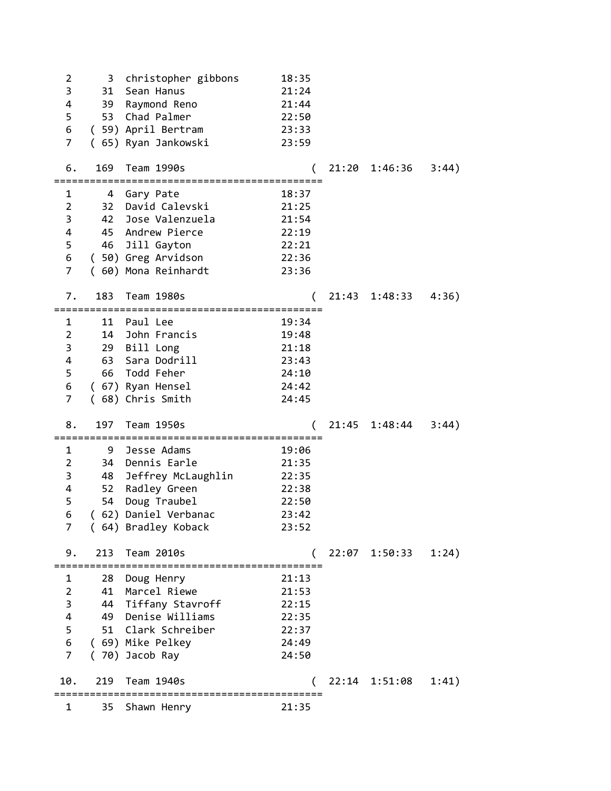| $\overline{2}$          | 3                    | christopher gibbons                             | 18:35 |       |               |       |
|-------------------------|----------------------|-------------------------------------------------|-------|-------|---------------|-------|
| 3                       | 31                   | Sean Hanus                                      | 21:24 |       |               |       |
| 4                       | 39                   | Raymond Reno                                    | 21:44 |       |               |       |
| 5                       |                      | 53 Chad Palmer                                  | 22:50 |       |               |       |
| 6<br>$\overline{7}$     |                      | (59) April Bertram                              | 23:33 |       |               |       |
|                         |                      | (65) Ryan Jankowski                             | 23:59 |       |               |       |
| 6.                      | 169                  | Team 1990s                                      |       | 21:20 | 1:46:36       | 3:44) |
| 1                       |                      | 4 Gary Pate                                     | 18:37 |       |               |       |
| $\overline{2}$          |                      | 32 David Calevski                               | 21:25 |       |               |       |
| 3                       |                      | 42 Jose Valenzuela                              | 21:54 |       |               |       |
| 4                       |                      | 45 Andrew Pierce                                | 22:19 |       |               |       |
| 5                       |                      | 46 Jill Gayton                                  | 22:21 |       |               |       |
| 6                       |                      | (50) Greg Arvidson                              | 22:36 |       |               |       |
| $\overline{7}$          |                      | (60) Mona Reinhardt                             | 23:36 |       |               |       |
| 7.                      | 183                  | Team 1980s                                      |       | 21:43 | 1:48:33       | 4:36) |
| 1                       | 11                   | Paul Lee                                        | 19:34 |       |               |       |
| $\overline{2}$          |                      | 14 John Francis                                 | 19:48 |       |               |       |
| 3                       |                      | 29 Bill Long                                    | 21:18 |       |               |       |
| 4                       |                      | 63 Sara Dodrill                                 | 23:43 |       |               |       |
| 5                       | 66                   | Todd Feher                                      | 24:10 |       |               |       |
| 6                       |                      | (67) Ryan Hensel                                | 24:42 |       |               |       |
| $\overline{7}$          |                      | (68) Chris Smith                                | 24:45 |       |               |       |
| 8.                      | 197                  | Team 1950s                                      |       | 21:45 | 1:48:44       | 3:44) |
| 1                       | 9                    | Jesse Adams                                     | 19:06 |       |               |       |
| $\overline{2}$          | 34                   | Dennis Earle                                    | 21:35 |       |               |       |
| 3                       |                      | 48 Jeffrey McLaughlin                           | 22:35 |       |               |       |
| 4                       |                      | 52 Radley Green                                 | 22:38 |       |               |       |
| 5                       |                      | 54 Doug Traubel                                 | 22:50 |       |               |       |
| 6                       |                      | 62) Daniel Verbanac                             | 23:42 |       |               |       |
| 7                       |                      | (64) Bradley Koback                             | 23:52 |       |               |       |
| 9.                      | 213<br>============= | Team 2010s<br>================================= |       |       | 22:07 1:50:33 | 1:24) |
| 1                       | 28                   | Doug Henry                                      | 21:13 |       |               |       |
| $\overline{2}$          | 41                   | Marcel Riewe                                    | 21:53 |       |               |       |
| 3                       |                      | 44 Tiffany Stavroff                             | 22:15 |       |               |       |
| $\overline{\mathbf{4}}$ |                      | 49 Denise Williams                              | 22:35 |       |               |       |
| 5                       |                      | 51 Clark Schreiber                              | 22:37 |       |               |       |
| 6                       |                      | (69) Mike Pelkey                                | 24:49 |       |               |       |
| $\overline{7}$          |                      | (70) Jacob Ray                                  | 24:50 |       |               |       |
| 10.                     | 219                  | Team 1940s                                      |       |       | 22:14 1:51:08 | 1:41) |
| 1                       | 35                   | Shawn Henry                                     | 21:35 |       |               |       |
|                         |                      |                                                 |       |       |               |       |